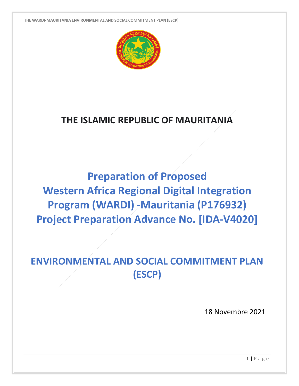

## **THE ISLAMIC REPUBLIC OF MAURITANIA**

**Preparation of Proposed Western Africa Regional Digital Integration Program (WARDI) -Mauritania (P176932) Project Preparation Advance No. [IDA-V4020]**

## **ENVIRONMENTAL AND SOCIAL COMMITMENT PLAN (ESCP)**

18 Novembre 2021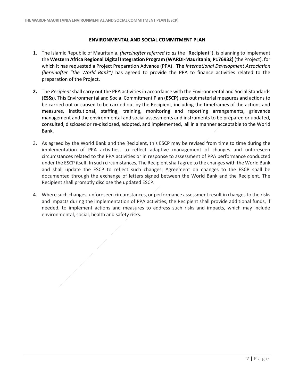## **ENVIRONMENTAL AND SOCIAL COMMITMENT PLAN**

- 1. The Islamic Republic of Mauritania, *(hereinafter referred to as* the "**Recipient**"), is planning to implement the **Western Africa Regional Digital Integration Program (WARDI-Mauritania; P176932)** (the Project), for which it has requested a Project Preparation Advance (PPA). The *International Development Association (hereinafter "the World Bank")* has agreed to provide the PPA to finance activities related to the preparation of the Project.
- **2.** The *Recipient* shall carry out the PPA activities in accordance with the Environmental and Social Standards (**ESSs**). This Environmental and Social Commitment Plan (**ESCP**) sets out material measures and actions to be carried out or caused to be carried out by the Recipient, including the timeframes of the actions and measures, institutional, staffing, training, monitoring and reporting arrangements, grievance management and the environmental and social assessments and instruments to be prepared or updated, consulted, disclosed or re-disclosed, adopted, and implemented, all in a manner acceptable to the World Bank.
- 3. As agreed by the World Bank and the Recipient, this ESCP may be revised from time to time during the implementation of PPA activities, to reflect adaptive management of changes and unforeseen circumstances related to the PPA activities or in response to assessment of PPA performance conducted under the ESCP itself. In such circumstances, The Recipient shall agree to the changes with the World Bank and shall update the ESCP to reflect such changes. Agreement on changes to the ESCP shall be documented through the exchange of letters signed between the World Bank and the Recipient. The Recipient shall promptly disclose the updated ESCP.
- 4. Where such changes, unforeseen circumstances, or performance assessment result in changes to the risks and impacts during the implementation of PPA activities, the Recipient shall provide additional funds, if needed, to implement actions and measures to address such risks and impacts, which may include environmental, social, health and safety risks.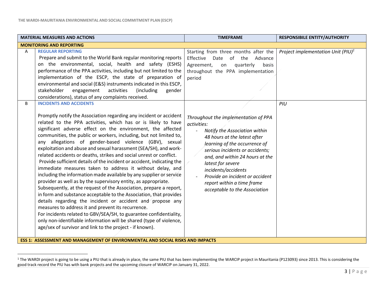$\overline{a}$ 

| <b>MATERIAL MEASURES AND ACTIONS</b>                                                                                                                                                                                                                                                                                                                                                                                                                                                                                                                                                                                                                                                                                                                                                                                                                                                                                                                                                                                                                                                                                                                                                                                                                                           | <b>TIMEFRAME</b>                                                                                                                                                                                                                                                                                                                                                          | <b>RESPONSIBILE ENTITY/AUTHORITY</b>  |
|--------------------------------------------------------------------------------------------------------------------------------------------------------------------------------------------------------------------------------------------------------------------------------------------------------------------------------------------------------------------------------------------------------------------------------------------------------------------------------------------------------------------------------------------------------------------------------------------------------------------------------------------------------------------------------------------------------------------------------------------------------------------------------------------------------------------------------------------------------------------------------------------------------------------------------------------------------------------------------------------------------------------------------------------------------------------------------------------------------------------------------------------------------------------------------------------------------------------------------------------------------------------------------|---------------------------------------------------------------------------------------------------------------------------------------------------------------------------------------------------------------------------------------------------------------------------------------------------------------------------------------------------------------------------|---------------------------------------|
| <b>MONITORING AND REPORTING</b>                                                                                                                                                                                                                                                                                                                                                                                                                                                                                                                                                                                                                                                                                                                                                                                                                                                                                                                                                                                                                                                                                                                                                                                                                                                |                                                                                                                                                                                                                                                                                                                                                                           |                                       |
| <b>REGULAR REPORTING</b><br>A<br>Prepare and submit to the World Bank regular monitoring reports<br>on the environmental, social, health and safety (ESHS)<br>performance of the PPA activities, including but not limited to the<br>implementation of the ESCP, the state of preparation of<br>environmental and social (E&S) instruments indicated in this ESCP,<br>stakeholder<br>engagement<br>activities<br>(including<br>gender<br>considerations), status of any complaints received.                                                                                                                                                                                                                                                                                                                                                                                                                                                                                                                                                                                                                                                                                                                                                                                   | Starting from three months after the<br>Effective<br>Date<br>of the<br>Advance<br>Agreement,<br>quarterly<br>basis<br>on<br>throughout the PPA implementation<br>period                                                                                                                                                                                                   | Project implementation Unit $(PIU)^1$ |
| <b>INCIDENTS AND ACCIDENTS</b><br>B.<br>Promptly notify the Association regarding any incident or accident<br>related to the PPA activities, which has or is likely to have<br>significant adverse effect on the environment, the affected<br>communities, the public or workers, including, but not limited to,<br>any allegations of gender-based violence (GBV), sexual<br>exploitation and abuse and sexual harassment (SEA/SH), and work-<br>related accidents or deaths, strikes and social unrest or conflict.<br>Provide sufficient details of the incident or accident, indicating the<br>immediate measures taken to address it without delay, and<br>including the information made available by any supplier or service<br>provider as well as by the supervisory entity, as appropriate.<br>Subsequently, at the request of the Association, prepare a report,<br>in form and substance acceptable to the Association, that provides<br>details regarding the incident or accident and propose any<br>measures to address it and prevent its recurrence.<br>For incidents related to GBV/SEA/SH, to guarantee confidentiality,<br>only non-identifiable information will be shared (type of violence,<br>age/sex of survivor and link to the project - if known). | Throughout the implementation of PPA<br>activities:<br>Notify the Association within<br>48 hours at the latest after<br>learning of the occurrence of<br>serious incidents or accidents;<br>and, and within 24 hours at the<br>latest for severe<br>incidents/accidents<br>Provide an incident or accident<br>report within a time frame<br>acceptable to the Association | PIU                                   |

<sup>&</sup>lt;sup>1</sup> The WARDI project is going to be using a PIU that is already in place, the same PIU that has been implementing the WARCIP project in Mauritania (P123093) since 2013. This is considering the good track record the PIU has with bank projects and the upcoming closure of WARCIP on January 31, 2022.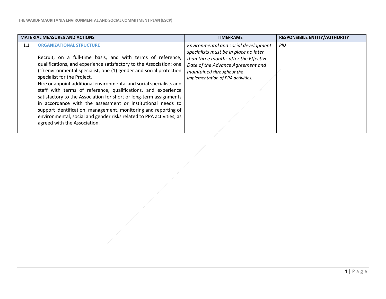|     | <b>MATERIAL MEASURES AND ACTIONS</b>                                 | <b>TIMEFRAME</b>                      | <b>RESPONSIBILE ENTITY/AUTHORITY</b> |
|-----|----------------------------------------------------------------------|---------------------------------------|--------------------------------------|
| 1.1 | <b>ORGANIZATIONAL STRUCTURE</b>                                      | Environmental and social development  | PIU                                  |
|     |                                                                      | specialists must be in place no later |                                      |
|     | Recruit, on a full-time basis, and with terms of reference,          | than three months after the Effective |                                      |
|     | qualifications, and experience satisfactory to the Association: one  | Date of the Advance Agreement and     |                                      |
|     | (1) environmental specialist, one (1) gender and social protection   | maintained throughout the             |                                      |
|     | specialist for the Project,                                          | implementation of PPA activities.     |                                      |
|     | Hire or appoint additional environmental and social specialists and  |                                       |                                      |
|     | staff with terms of reference, qualifications, and experience        |                                       |                                      |
|     | satisfactory to the Association for short or long-term assignments   |                                       |                                      |
|     | in accordance with the assessment or institutional needs to          |                                       |                                      |
|     | support identification, management, monitoring and reporting of      |                                       |                                      |
|     | environmental, social and gender risks related to PPA activities, as |                                       |                                      |
|     | agreed with the Association.                                         |                                       |                                      |
|     |                                                                      |                                       |                                      |

Š,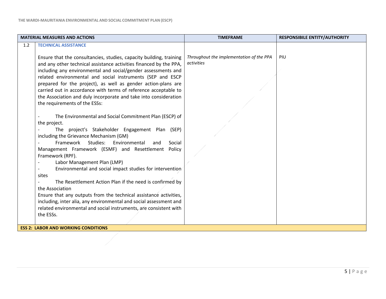|     | <b>MATERIAL MEASURES AND ACTIONS</b>                                                                                                                                                                                                                                                                                                                                                                                                                                                                                                                                                                                                                                                                                   | <b>TIMEFRAME</b>                                       | <b>RESPONSIBILE ENTITY/AUTHORITY</b> |
|-----|------------------------------------------------------------------------------------------------------------------------------------------------------------------------------------------------------------------------------------------------------------------------------------------------------------------------------------------------------------------------------------------------------------------------------------------------------------------------------------------------------------------------------------------------------------------------------------------------------------------------------------------------------------------------------------------------------------------------|--------------------------------------------------------|--------------------------------------|
| 1.2 | <b>TECHNICAL ASSISTANCE</b>                                                                                                                                                                                                                                                                                                                                                                                                                                                                                                                                                                                                                                                                                            |                                                        |                                      |
|     | Ensure that the consultancies, studies, capacity building, training<br>and any other technical assistance activities financed by the PPA,<br>including any environmental and social/gender assessments and<br>related environmental and social instruments (SEP and ESCP<br>prepared for the project), as well as gender action-plans are<br>carried out in accordance with terms of reference acceptable to<br>the Association and duly incorporate and take into consideration<br>the requirements of the ESSs:                                                                                                                                                                                                      | Throughout the implementation of the PPA<br>activities | PIU                                  |
|     | The Environmental and Social Commitment Plan (ESCP) of<br>the project.<br>The project's Stakeholder Engagement Plan (SEP)<br>including the Grievance Mechanism (GM)<br>Framework Studies:<br>Environmental<br>and<br>Social<br>Management Framework (ESMF) and Resettlement Policy<br>Framework (RPF).<br>Labor Management Plan (LMP)<br>Environmental and social impact studies for intervention<br>sites<br>The Resettlement Action Plan if the need is confirmed by<br>the Association<br>Ensure that any outputs from the technical assistance activities,<br>including, inter alia, any environmental and social assessment and<br>related environmental and social instruments, are consistent with<br>the ESSs. |                                                        |                                      |
|     | <b>ESS 2: LABOR AND WORKING CONDITIONS</b>                                                                                                                                                                                                                                                                                                                                                                                                                                                                                                                                                                                                                                                                             |                                                        |                                      |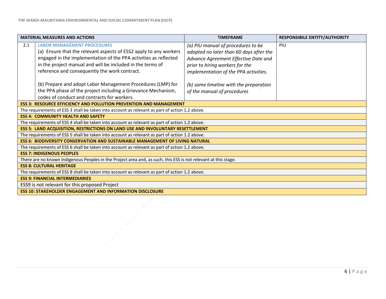|                                                                                                                 | <b>MATERIAL MEASURES AND ACTIONS</b>                                                           | <b>TIMEFRAME</b>                        | <b>RESPONSIBILE ENTITY/AUTHORITY</b> |
|-----------------------------------------------------------------------------------------------------------------|------------------------------------------------------------------------------------------------|-----------------------------------------|--------------------------------------|
| 2.1                                                                                                             | <b>LABOR MANAGEMENT PROCEDURES</b>                                                             | (a) PIU manual of procedures to be      | PIU                                  |
|                                                                                                                 | (a) Ensure that the relevant aspects of ESS2 apply to any workers                              | adopted no later than 60 days after the |                                      |
|                                                                                                                 | engaged in the implementation of the PPA activities as reflected                               | Advance Agreement Effective Date and    |                                      |
|                                                                                                                 | in the project manual and will be included in the terms of                                     | prior to hiring workers for the         |                                      |
|                                                                                                                 | reference and consequently the work contract.                                                  | implementation of the PPA activities.   |                                      |
|                                                                                                                 | (b) Prepare and adopt Labor Management Procedures (LMP) for                                    | (b) same timeline with the preparation  |                                      |
|                                                                                                                 | the PPA phase of the project including a Grievance Mechanism,                                  | of the manual of procedures             |                                      |
|                                                                                                                 | codes of conduct and contracts for workers.                                                    |                                         |                                      |
|                                                                                                                 | <b>ESS 3: RESOURCE EFFICIENCY AND POLLUTION PREVENTION AND MANAGEMENT</b>                      |                                         |                                      |
|                                                                                                                 | The requirements of ESS 3 shall be taken into account as relevant as part of action 1.2 above. |                                         |                                      |
|                                                                                                                 | <b>ESS 4: COMMUNITY HEALTH AND SAFETY</b>                                                      |                                         |                                      |
| The requirements of ESS 4 shall be taken into account as relevant as part of action 1.2 above.                  |                                                                                                |                                         |                                      |
| <b>ESS 5: LAND ACQUISITION, RESTRICTIONS ON LAND USE AND INVOLUNTARY RESETTLEMENT</b>                           |                                                                                                |                                         |                                      |
|                                                                                                                 | The requirements of ESS 5 shall be taken into account as relevant as part of action 1.2 above. |                                         |                                      |
| <b>ESS 6: BIODIVERSITY CONSERVATION AND SUSTAINABLE MANAGEMENT OF LIVING NATURAL</b>                            |                                                                                                |                                         |                                      |
|                                                                                                                 | The requirements of ESS 6 shall be taken into account as relevant as part of action 1.2 above. |                                         |                                      |
|                                                                                                                 | <b>ESS 7: INDIGENOUS PEOPLES</b>                                                               |                                         |                                      |
| There are no known Indigenous Peoples in the Project area and, as such, this ESS is not relevant at this stage. |                                                                                                |                                         |                                      |
| <b>ESS 8: CULTURAL HERITAGE</b>                                                                                 |                                                                                                |                                         |                                      |
| The requirements of ESS 8 shall be taken into account as relevant as part of action 1.2 above.                  |                                                                                                |                                         |                                      |
| <b>ESS 9: FINANCIAL INTERMEDIARIES</b>                                                                          |                                                                                                |                                         |                                      |
| ESS9 is not relevant for this proposed Project                                                                  |                                                                                                |                                         |                                      |
|                                                                                                                 | <b>ESS 10: STAKEHOLDER ENGAGEMENT AND INFORMATION DISCLOSURE</b>                               |                                         |                                      |